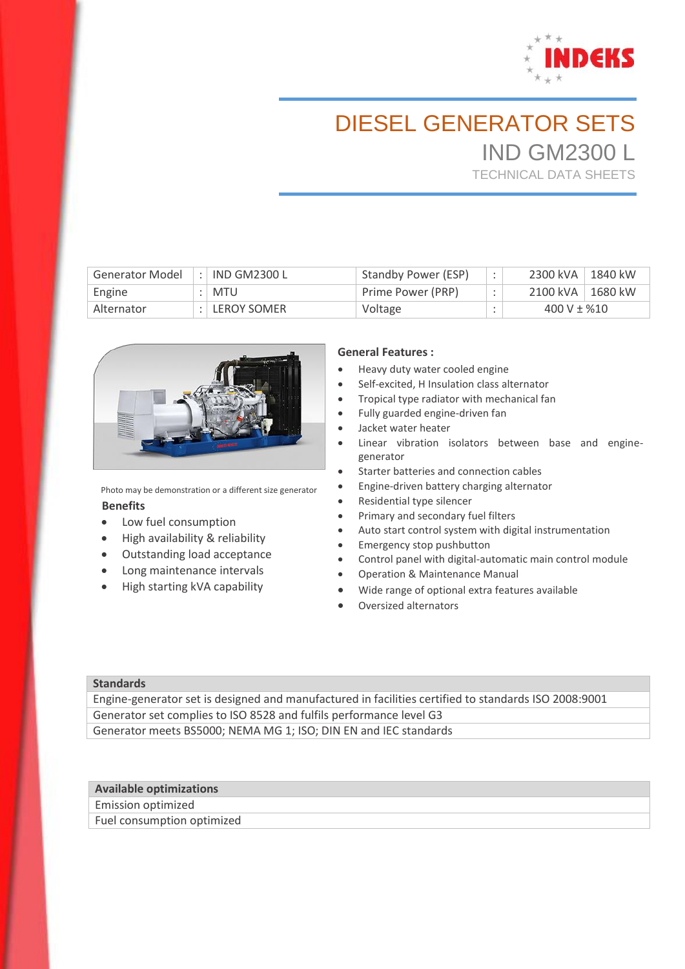

# DIESEL GENERATOR SETS IND GM2300 L

TECHNICAL DATA SHEETS

| Generator Model | <b>IND GM2300 L</b> | Standby Power (ESP) | 2300 kVA<br>1840 kW |
|-----------------|---------------------|---------------------|---------------------|
| Engine          | MTU                 | Prime Power (PRP)   | 2100 kVA<br>1680 kW |
| Alternator      | $:$ LEROY SOMER     | Voltage             | 400 V $\pm$ %10     |



Photo may be demonstration or a different size generator  **Benefits**

- Low fuel consumption
- High availability & reliability
- Outstanding load acceptance
- Long maintenance intervals
- High starting kVA capability

#### **General Features :**

- Heavy duty water cooled engine
- Self-excited, H Insulation class alternator
- Tropical type radiator with mechanical fan
- Fully guarded engine-driven fan
- Jacket water heater
- Linear vibration isolators between base and enginegenerator
- **Starter batteries and connection cables**
- Engine-driven battery charging alternator
- Residential type silencer
- Primary and secondary fuel filters
- Auto start control system with digital instrumentation
- **•** Emergency stop pushbutton
- Control panel with digital-automatic main control module
- Operation & Maintenance Manual
- Wide range of optional extra features available
- Oversized alternators

#### **Standards**

Engine-generator set is designed and manufactured in facilities certified to standards ISO 2008:9001 Generator set complies to ISO 8528 and fulfils performance level G3 Generator meets BS5000; NEMA MG 1; ISO; DIN EN and IEC standards

### **Available optimizations**

Emission optimized Fuel consumption optimized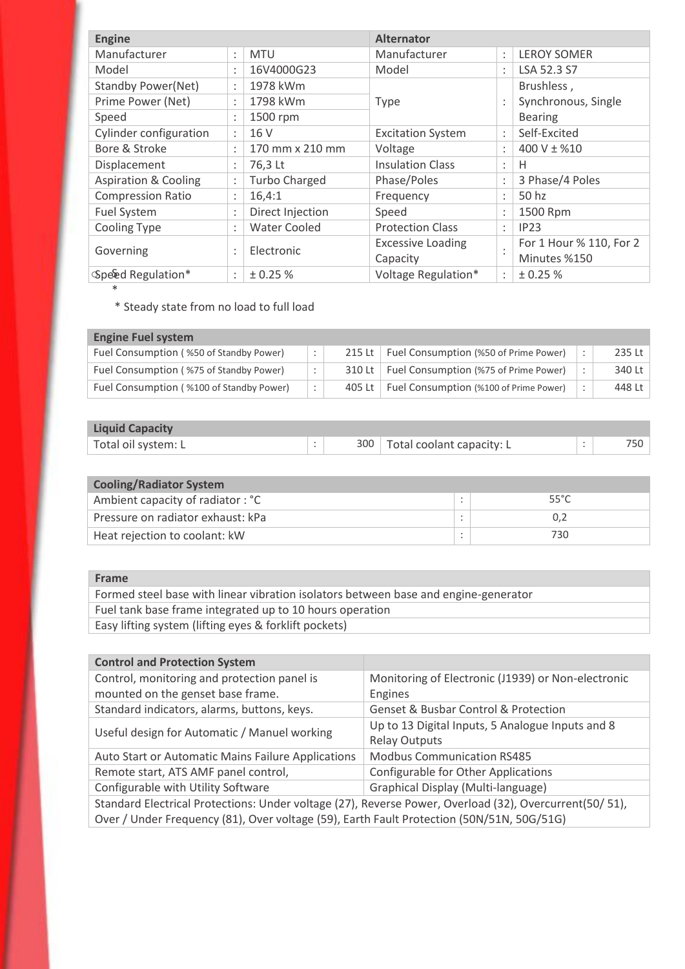| <b>Engine</b>                   |                                  |                      | <b>Alternator</b>        |                         |                         |  |  |
|---------------------------------|----------------------------------|----------------------|--------------------------|-------------------------|-------------------------|--|--|
| Manufacturer                    | $\bullet$<br>$\bullet$           | <b>MTU</b>           | Manufacturer             | ÷                       | <b>LEROY SOMER</b>      |  |  |
| Model                           | $\bullet$<br>$\cdot$             | 16V4000G23           | Model                    | ٠<br>$\cdot$            | LSA 52.3 S7             |  |  |
| <b>Standby Power(Net)</b>       | 1978 kWm<br>$\bullet$<br>$\cdot$ |                      |                          |                         | Brushless,              |  |  |
| Prime Power (Net)               |                                  | 1798 kWm             | Type                     |                         | Synchronous, Single     |  |  |
| Speed                           |                                  | 1500 rpm             |                          |                         | <b>Bearing</b>          |  |  |
| Cylinder configuration          | $\bullet$                        | 16 V                 | <b>Excitation System</b> | $\bullet$               | Self-Excited            |  |  |
| Bore & Stroke                   | $\bullet$<br>$\cdot$             | 170 mm x 210 mm      | Voltage                  | $\bullet$<br>$\epsilon$ | $400 V \pm %10$         |  |  |
| Displacement                    | $\bullet$<br>$\bullet$           | 76,3 Lt              | <b>Insulation Class</b>  | ٠<br>$\bullet$          | Н                       |  |  |
| <b>Aspiration &amp; Cooling</b> | $\bullet$<br>$\cdot$             | <b>Turbo Charged</b> | Phase/Poles              | $\bullet$               | 3 Phase/4 Poles         |  |  |
| <b>Compression Ratio</b>        | ٠                                | 16,4:1               | Frequency                | ٠                       | 50 hz                   |  |  |
| <b>Fuel System</b>              | ٠<br>$\cdot$                     | Direct Injection     | Speed                    | ٠<br>$\cdot$            | 1500 Rpm                |  |  |
| Cooling Type                    | ٠<br>$\epsilon$                  | <b>Water Cooled</b>  | <b>Protection Class</b>  | ٠                       | IP23                    |  |  |
|                                 | $\bullet$                        | Electronic           | <b>Excessive Loading</b> |                         | For 1 Hour % 110, For 2 |  |  |
| Governing                       | $\cdot$                          |                      | Capacity                 | ٠                       | Minutes %150            |  |  |
| Speed Regulation*               | $\ddot{\cdot}$                   | ± 0.25%              | Voltage Regulation*      | $\ddot{\phantom{a}}$    | ± 0.25%                 |  |  |

\* \* Steady state from no load to full load

## **Engine Fuel system**

| _______________________                  |   |                      |                                        |        |
|------------------------------------------|---|----------------------|----------------------------------------|--------|
| Fuel Consumption (%50 of Standby Power)  |   | $215$ Lt $\parallel$ | Fuel Consumption (%50 of Prime Power)  | 235 Lt |
| Fuel Consumption (%75 of Standby Power)  |   | 310 Lt               | Fuel Consumption (%75 of Prime Power)  | 340 Lt |
| Fuel Consumption (%100 of Standby Power) | ÷ | 405 Lt               | Fuel Consumption (%100 of Prime Power) | 448 Lt |

| <b>Liquid Capacity</b> |  |                                 |     |
|------------------------|--|---------------------------------|-----|
| Total oil system: L    |  | 300   Total coolant capacity: L | 750 |

| <b>Cooling/Radiator System</b>    |  |                |  |  |  |  |
|-----------------------------------|--|----------------|--|--|--|--|
| Ambient capacity of radiator: °C  |  | $55^{\circ}$ C |  |  |  |  |
| Pressure on radiator exhaust: kPa |  |                |  |  |  |  |
| Heat rejection to coolant: kW     |  | 730.           |  |  |  |  |

## **Frame** Formed steel base with linear vibration isolators between base and engine-generator Fuel tank base frame integrated up to 10 hours operation Easy lifting system (lifting eyes & forklift pockets)

| <b>Control and Protection System</b>                                                                   |                                                     |  |  |  |
|--------------------------------------------------------------------------------------------------------|-----------------------------------------------------|--|--|--|
| Control, monitoring and protection panel is                                                            | Monitoring of Electronic (J1939) or Non-electronic  |  |  |  |
| mounted on the genset base frame.                                                                      | Engines                                             |  |  |  |
| Standard indicators, alarms, buttons, keys.                                                            | <b>Genset &amp; Busbar Control &amp; Protection</b> |  |  |  |
| Useful design for Automatic / Manuel working                                                           | Up to 13 Digital Inputs, 5 Analogue Inputs and 8    |  |  |  |
|                                                                                                        | <b>Relay Outputs</b>                                |  |  |  |
| Auto Start or Automatic Mains Failure Applications                                                     | <b>Modbus Communication RS485</b>                   |  |  |  |
| Remote start, ATS AMF panel control,                                                                   | Configurable for Other Applications                 |  |  |  |
| Configurable with Utility Software                                                                     | Graphical Display (Multi-language)                  |  |  |  |
| Standard Electrical Protections: Under voltage (27), Reverse Power, Overload (32), Overcurrent(50/51), |                                                     |  |  |  |
| Over / Under Frequency (81), Over voltage (59), Earth Fault Protection (50N/51N, 50G/51G)              |                                                     |  |  |  |